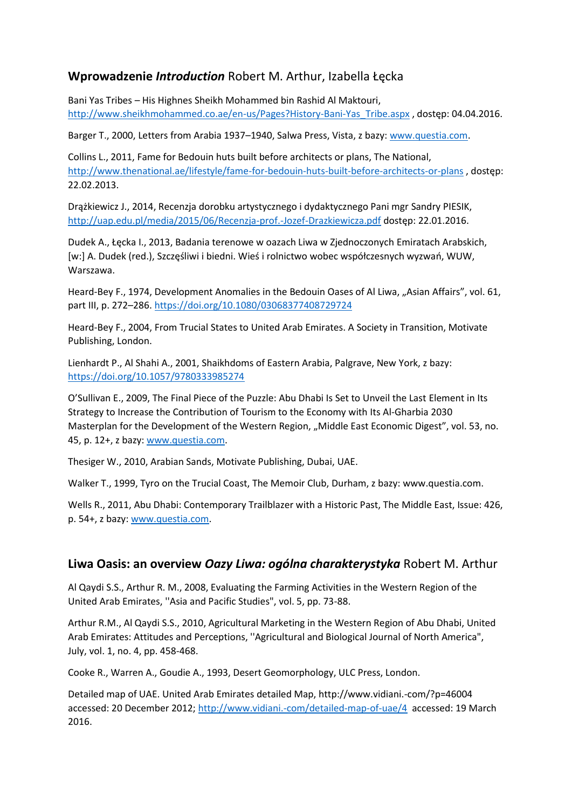### **Wprowadzenie** *Introduction* Robert M. Arthur, Izabella Łęcka

Bani Yas Tribes – His Highnes Sheikh Mohammed bin Rashid Al Maktouri, [http://www.sheikhmohammed.co.ae/en-us/Pages?History-Bani-Yas\\_Tribe.aspx](http://www.sheikhmohammed.co.ae/en-us/Pages?History-Bani-Yas_Tribe.aspx) , dostęp: 04.04.2016.

Barger T., 2000, Letters from Arabia 1937-1940, Salwa Press, Vista, z bazy: [www.questia.com.](http://www.questia.com/)

Collins L., 2011, Fame for Bedouin huts built before architects or plans, The National, <http://www.thenational.ae/lifestyle/fame-for-bedouin-huts-built-before-architects-or-plans> , dostęp: 22.02.2013.

Drążkiewicz J., 2014, Recenzja dorobku artystycznego i dydaktycznego Pani mgr Sandry PIESIK, <http://uap.edu.pl/media/2015/06/Recenzja-prof.-Jozef-Drazkiewicza.pdf> dostęp: 22.01.2016.

Dudek A., Łęcka I., 2013, Badania terenowe w oazach Liwa w Zjednoczonych Emiratach Arabskich, [w:] A. Dudek (red.), Szczęśliwi i biedni. Wieś i rolnictwo wobec współczesnych wyzwań, WUW, Warszawa.

Heard-Bey F., 1974, Development Anomalies in the Bedouin Oases of Al Liwa, "Asian Affairs", vol. 61, part III, p. 272–286. <https://doi.org/10.1080/03068377408729724>

Heard-Bey F., 2004, From Trucial States to United Arab Emirates. A Society in Transition, Motivate Publishing, London.

Lienhardt P., Al Shahi A., 2001, Shaikhdoms of Eastern Arabia, Palgrave, New York, z bazy: <https://doi.org/10.1057/9780333985274>

O'Sullivan E., 2009, The Final Piece of the Puzzle: Abu Dhabi Is Set to Unveil the Last Element in Its Strategy to Increase the Contribution of Tourism to the Economy with Its Al-Gharbia 2030 Masterplan for the Development of the Western Region, "Middle East Economic Digest", vol. 53, no. 45, p. 12+, z bazy: [www.questia.com.](http://www.questia.com4/)

Thesiger W., 2010, Arabian Sands, Motivate Publishing, Dubai, UAE.

Walker T., 1999, Tyro on the Trucial Coast, The Memoir Club, Durham, z bazy: www.questia.com.

Wells R., 2011, Abu Dhabi: Contemporary Trailblazer with a Historic Past, The Middle East, Issue: 426, p. 54+, z bazy: [www.questia.com.](http://www.questia.com4/)

#### **Liwa Oasis: an overview** *Oazy Liwa: ogólna charakterystyka* Robert M. Arthur

Al Qaydi S.S., Arthur R. M., 2008, Evaluating the Farming Activities in the Western Region of the United Arab Emirates, ''Asia and Pacific Studies", vol. 5, pp. 73-88.

Arthur R.M., Al Qaydi S.S., 2010, Agricultural Marketing in the Western Region of Abu Dhabi, United Arab Emirates: Attitudes and Perceptions, ''Agricultural and Biological Journal of North America", July, vol. 1, no. 4, pp. 458-468.

Cooke R., Warren A., Goudie A., 1993, Desert Geomorphology, ULC Press, London.

Detailed map of UAE. United Arab Emirates detailed Map, http://www.vidiani.-com/?p=46004 accessed: 20 December 2012;<http://www.vidiani.-com/detailed-map-of-uae/4>accessed: 19 March 2016.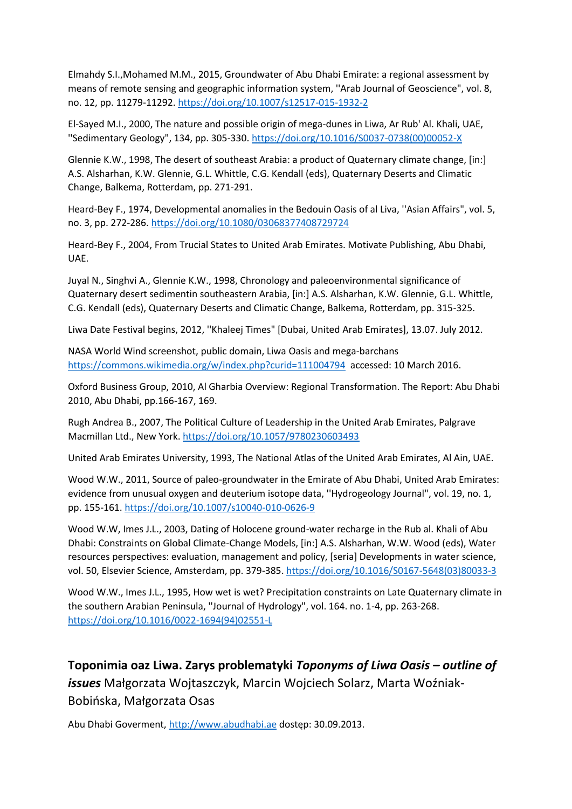Elmahdy S.I.,Mohamed M.M., 2015, Groundwater of Abu Dhabi Emirate: a regional assessment by means of remote sensing and geographic information system, ''Arab Journal of Geoscience", vol. 8, no. 12, pp. 11279-11292.<https://doi.org/10.1007/s12517-015-1932-2>

El-Sayed M.I., 2000, The nature and possible origin of mega-dunes in Liwa, Ar Rub' Al. Khali, UAE, ''Sedimentary Geology", 134, pp. 305-330. [https://doi.org/10.1016/S0037-0738\(00\)00052-X](https://doi.org/10.1016/S0037-0738(00)00052-X)

Glennie K.W., 1998, The desert of southeast Arabia: a product of Quaternary climate change, [in:] A.S. Alsharhan, K.W. Glennie, G.L. Whittle, C.G. Kendall (eds), Quaternary Deserts and Climatic Change, Balkema, Rotterdam, pp. 271-291.

Heard-Bey F., 1974, Developmental anomalies in the Bedouin Oasis of al Liva, ''Asian Affairs", vol. 5, no. 3, pp. 272-286.<https://doi.org/10.1080/03068377408729724>

Heard-Bey F., 2004, From Trucial States to United Arab Emirates. Motivate Publishing, Abu Dhabi, UAE.

Juyal N., Singhvi A., Glennie K.W., 1998, Chronology and paleoenvironmental significance of Quaternary desert sedimentin southeastern Arabia, [in:] A.S. Alsharhan, K.W. Glennie, G.L. Whittle, C.G. Kendall (eds), Quaternary Deserts and Climatic Change, Balkema, Rotterdam, pp. 315-325.

Liwa Date Festival begins, 2012, ''Khaleej Times" [Dubai, United Arab Emirates], 13.07. July 2012.

NASA World Wind screenshot, public domain, Liwa Oasis and mega-barchans <https://commons.wikimedia.org/w/index.php?curid=111004794>accessed: 10 March 2016.

Oxford Business Group, 2010, Al Gharbia Overview: Regional Transformation. The Report: Abu Dhabi 2010, Abu Dhabi, pp.166-167, 169.

Rugh Andrea B., 2007, The Political Culture of Leadership in the United Arab Emirates, Palgrave Macmillan Ltd., New York.<https://doi.org/10.1057/9780230603493>

United Arab Emirates University, 1993, The National Atlas of the United Arab Emirates, Al Ain, UAE.

Wood W.W., 2011, Source of paleo-groundwater in the Emirate of Abu Dhabi, United Arab Emirates: evidence from unusual oxygen and deuterium isotope data, ''Hydrogeology Journal", vol. 19, no. 1, pp. 155-161.<https://doi.org/10.1007/s10040-010-0626-9>

Wood W.W, Imes J.L., 2003, Dating of Holocene ground-water recharge in the Rub al. Khali of Abu Dhabi: Constraints on Global Climate-Change Models, [in:] A.S. Alsharhan, W.W. Wood (eds), Water resources perspectives: evaluation, management and policy, [seria] Developments in water science, vol. 50, Elsevier Science, Amsterdam, pp. 379-385. [https://doi.org/10.1016/S0167-5648\(03\)80033-3](https://doi.org/10.1016/S0167-5648(03)80033-3)

Wood W.W., Imes J.L., 1995, How wet is wet? Precipitation constraints on Late Quaternary climate in the southern Arabian Peninsula, ''Journal of Hydrology", vol. 164. no. 1-4, pp. 263-268. [https://doi.org/10.1016/0022-1694\(94\)02551-L](https://doi.org/10.1016/0022-1694(94)02551-L)

# **Toponimia oaz Liwa. Zarys problematyki** *Toponyms of Liwa Oasis – outline of issues* Małgorzata Wojtaszczyk, Marcin Wojciech Solarz, Marta Woźniak-Bobińska, Małgorzata Osas

Abu Dhabi Goverment, [http://www.abudhabi.ae](http://www.abudhabi.ae/) dostęp: 30.09.2013.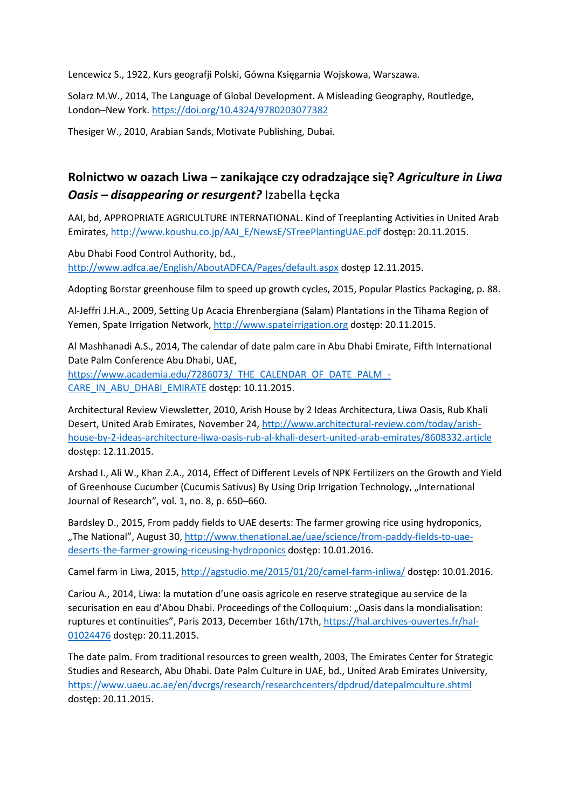Lencewicz S., 1922, Kurs geografji Polski, Gówna Księgarnia Wojskowa, Warszawa.

Solarz M.W., 2014, The Language of Global Development. A Misleading Geography, Routledge, London–New York. <https://doi.org/10.4324/9780203077382>

Thesiger W., 2010, Arabian Sands, Motivate Publishing, Dubai.

# **Rolnictwo w oazach Liwa – zanikające czy odradzające się?** *Agriculture in Liwa Oasis – disappearing or resurgent?* Izabella Łęcka

AAI, bd, APPROPRIATE AGRICULTURE INTERNATIONAL. Kind of Treeplanting Activities in United Arab Emirates, [http://www.koushu.co.jp/AAI\\_E/NewsE/STreePlantingUAE.pdf](http://www.koushu.co.jp/AAI_E/NewsE/STreePlantingUAE.pdf) dostęp: 20.11.2015.

Abu Dhabi Food Control Authority, bd., <http://www.adfca.ae/English/AboutADFCA/Pages/default.aspx> dostęp 12.11.2015.

Adopting Borstar greenhouse film to speed up growth cycles, 2015, Popular Plastics Packaging, p. 88.

Al-Jeffri J.H.A., 2009, Setting Up Acacia Ehrenbergiana (Salam) Plantations in the Tihama Region of Yemen, Spate Irrigation Network, [http://www.spateirrigation.org](http://www.spateirrigation.org/) dostęp: 20.11.2015.

Al Mashhanadi A.S., 2014, The calendar of date palm care in Abu Dhabi Emirate, Fifth International Date Palm Conference Abu Dhabi, UAE,

[https://www.academia.edu/7286073/\\_THE\\_CALENDAR\\_OF\\_DATE\\_PALM\\_-](https://www.academia.edu/7286073/_THE_CALENDAR_OF_DATE_PALM_-CARE_IN_ABU_DHABI_EMIRATE) [CARE\\_IN\\_ABU\\_DHABI\\_EMIRATE](https://www.academia.edu/7286073/_THE_CALENDAR_OF_DATE_PALM_-CARE_IN_ABU_DHABI_EMIRATE) dostęp: 10.11.2015.

Architectural Review Viewsletter, 2010, Arish House by 2 Ideas Architectura, Liwa Oasis, Rub Khali Desert, United Arab Emirates, November 24[, http://www.architectural-review.com/today/arish](http://www.architectural-review.com/today/arish-house-by-2-ideas-architecture-liwa-oasis-rub-al-khali-desert-united-arab-emirates/8608332.article)[house-by-2-ideas-architecture-liwa-oasis-rub-al-khali-desert-united-arab-emirates/8608332.article](http://www.architectural-review.com/today/arish-house-by-2-ideas-architecture-liwa-oasis-rub-al-khali-desert-united-arab-emirates/8608332.article) dostęp: 12.11.2015.

Arshad I., Ali W., Khan Z.A., 2014, Effect of Different Levels of NPK Fertilizers on the Growth and Yield of Greenhouse Cucumber (Cucumis Sativus) By Using Drip Irrigation Technology, "International Journal of Research", vol. 1, no. 8, p. 650–660.

Bardsley D., 2015, From paddy fields to UAE deserts: The farmer growing rice using hydroponics, "The National", August 30, [http://www.thenational.ae/uae/science/from-paddy-fields-to-uae](http://www.thenational.ae/uae/science/from-paddy-fields-to-uae-deserts-the-farmer-growing-riceusing-hydroponics)[deserts-the-farmer-growing-riceusing-hydroponics](http://www.thenational.ae/uae/science/from-paddy-fields-to-uae-deserts-the-farmer-growing-riceusing-hydroponics) dostęp: 10.01.2016.

Camel farm in Liwa, 2015,<http://agstudio.me/2015/01/20/camel-farm-inliwa/> dostęp: 10.01.2016.

Cariou A., 2014, Liwa: la mutation d'une oasis agricole en reserve strategique au service de la securisation en eau d'Abou Dhabi. Proceedings of the Colloquium: "Oasis dans la mondialisation: ruptures et continuities", Paris 2013, December 16th/17th, [https://hal.archives-ouvertes.fr/hal-](https://hal.archives-ouvertes.fr/hal-01024476)[01024476](https://hal.archives-ouvertes.fr/hal-01024476) dostęp: 20.11.2015.

The date palm. From traditional resources to green wealth, 2003, The Emirates Center for Strategic Studies and Research, Abu Dhabi. Date Palm Culture in UAE, bd., United Arab Emirates University, <https://www.uaeu.ac.ae/en/dvcrgs/research/researchcenters/dpdrud/datepalmculture.shtml> dostęp: 20.11.2015.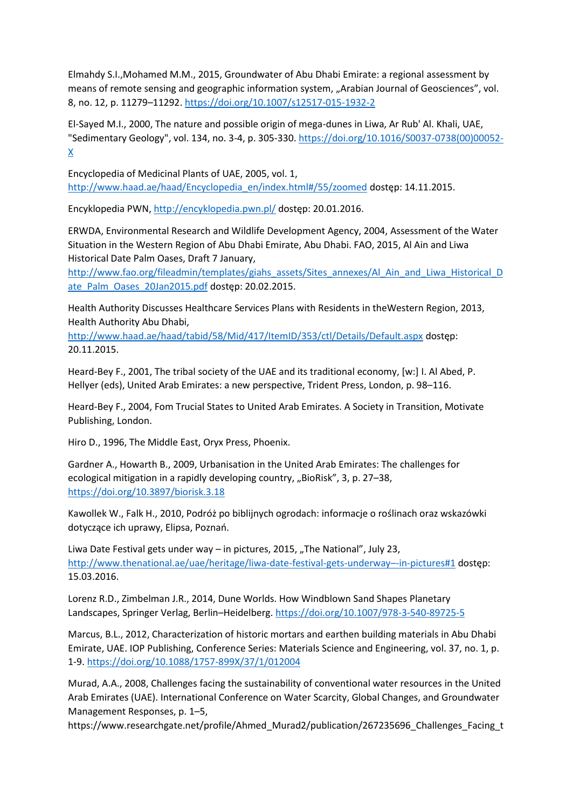Elmahdy S.I.,Mohamed M.M., 2015, Groundwater of Abu Dhabi Emirate: a regional assessment by means of remote sensing and geographic information system, "Arabian Journal of Geosciences", vol. 8, no. 12, p. 11279–11292. <https://doi.org/10.1007/s12517-015-1932-2>

El-Sayed M.I., 2000, The nature and possible origin of mega-dunes in Liwa, Ar Rub' Al. Khali, UAE, "Sedimentary Geology", vol. 134, no. 3-4, p. 305-330. [https://doi.org/10.1016/S0037-0738\(00\)00052-](https://doi.org/10.1016/S0037-0738(00)00052-X)  $\underline{X}$  $\underline{X}$  $\underline{X}$ 

Encyclopedia of Medicinal Plants of UAE, 2005, vol. 1, [http://www.haad.ae/haad/Encyclopedia\\_en/index.html#/55/zoomed](http://www.haad.ae/haad/Encyclopedia_en/index.html#/55/zoomed) dostęp: 14.11.2015.

Encyklopedia PWN,<http://encyklopedia.pwn.pl/> dostęp: 20.01.2016.

ERWDA, Environmental Research and Wildlife Development Agency, 2004, Assessment of the Water Situation in the Western Region of Abu Dhabi Emirate, Abu Dhabi. FAO, 2015, Al Ain and Liwa Historical Date Palm Oases, Draft 7 January,

[http://www.fao.org/fileadmin/templates/giahs\\_assets/Sites\\_annexes/Al\\_Ain\\_and\\_Liwa\\_Historical\\_D](http://www.fao.org/fileadmin/templates/giahs_assets/Sites_annexes/Al_Ain_and_Liwa_Historical_Date_Palm_Oases_20Jan2015.pdf) [ate\\_Palm\\_Oases\\_20Jan2015.pdf](http://www.fao.org/fileadmin/templates/giahs_assets/Sites_annexes/Al_Ain_and_Liwa_Historical_Date_Palm_Oases_20Jan2015.pdf) dostęp: 20.02.2015.

Health Authority Discusses Healthcare Services Plans with Residents in theWestern Region, 2013, Health Authority Abu Dhabi,

<http://www.haad.ae/haad/tabid/58/Mid/417/ItemID/353/ctl/Details/Default.aspx> dostęp: 20.11.2015.

Heard-Bey F., 2001, The tribal society of the UAE and its traditional economy, [w:] I. Al Abed, P. Hellyer (eds), United Arab Emirates: a new perspective, Trident Press, London, p. 98–116.

Heard-Bey F., 2004, Fom Trucial States to United Arab Emirates. A Society in Transition, Motivate Publishing, London.

Hiro D., 1996, The Middle East, Oryx Press, Phoenix.

Gardner A., Howarth B., 2009, Urbanisation in the United Arab Emirates: The challenges for ecological mitigation in a rapidly developing country, "BioRisk", 3, p. 27-38, <https://doi.org/10.3897/biorisk.3.18>

Kawollek W., Falk H., 2010, Podróż po biblijnych ogrodach: informacje o roślinach oraz wskazówki dotyczące ich uprawy, Elipsa, Poznań.

Liwa Date Festival gets under way  $-$  in pictures, 2015, "The National", July 23, [http://www.thenational.ae/uae/heritage/liwa-date-festival-gets-underway](http://www.thenational.ae/uae/heritage/liwa-date-festival-gets-underway–-in-pictures#1)–-in-pictures#1 dostęp: 15.03.2016.

Lorenz R.D., Zimbelman J.R., 2014, Dune Worlds. How Windblown Sand Shapes Planetary Landscapes, Springer Verlag, Berlin–Heidelberg. <https://doi.org/10.1007/978-3-540-89725-5>

Marcus, B.L., 2012, Characterization of historic mortars and earthen building materials in Abu Dhabi Emirate, UAE. IOP Publishing, Conference Series: Materials Science and Engineering, vol. 37, no. 1, p. 1-9[. https://doi.org/10.1088/1757-899X/37/1/012004](https://doi.org/10.1088/1757-899X/37/1/012004)

Murad, A.A., 2008, Challenges facing the sustainability of conventional water resources in the United Arab Emirates (UAE). International Conference on Water Scarcity, Global Changes, and Groundwater Management Responses, p. 1–5,

https://www.researchgate.net/profile/Ahmed\_Murad2/publication/267235696\_Challenges\_Facing\_t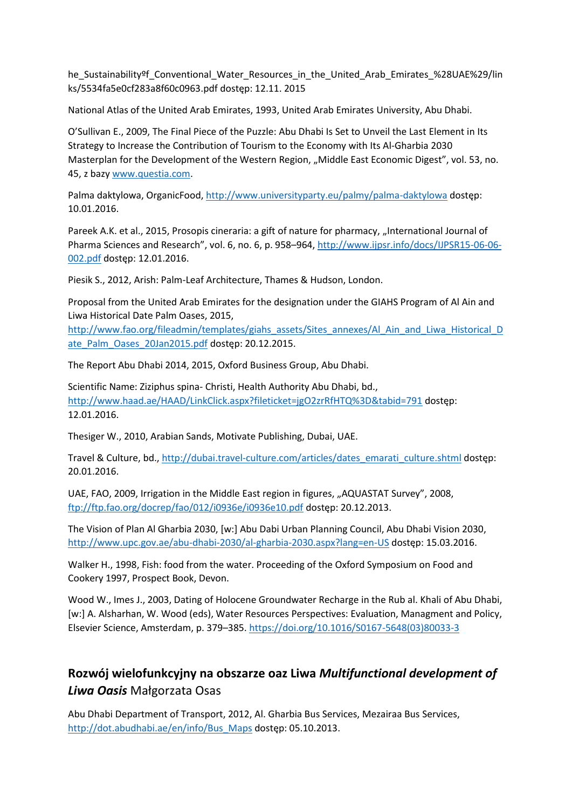he Sustainability<sup>of</sup> Conventional Water Resources in the United Arab Emirates %28UAE%29/lin ks/5534fa5e0cf283a8f60c0963.pdf dostęp: 12.11. 2015

National Atlas of the United Arab Emirates, 1993, United Arab Emirates University, Abu Dhabi.

O'Sullivan E., 2009, The Final Piece of the Puzzle: Abu Dhabi Is Set to Unveil the Last Element in Its Strategy to Increase the Contribution of Tourism to the Economy with Its Al-Gharbia 2030 Masterplan for the Development of the Western Region, "Middle East Economic Digest", vol. 53, no. 45, z bazy [www.questia.com.](http://www.questia.com/)

Palma daktylowa, OrganicFood[, http://www.universityparty.eu/palmy/palma-daktylowa](http://www.universityparty.eu/palmy/palma-daktylowa) dostęp: 10.01.2016.

Pareek A.K. et al., 2015, Prosopis cineraria: a gift of nature for pharmacy, "International Journal of Pharma Sciences and Research", vol. 6, no. 6, p. 958–964, [http://www.ijpsr.info/docs/IJPSR15-06-06-](http://www.ijpsr.info/docs/IJPSR15-06-06-002.pdf) [002.pdf](http://www.ijpsr.info/docs/IJPSR15-06-06-002.pdf) dostęp: 12.01.2016.

Piesik S., 2012, Arish: Palm-Leaf Architecture, Thames & Hudson, London.

Proposal from the United Arab Emirates for the designation under the GIAHS Program of Al Ain and Liwa Historical Date Palm Oases, 2015,

[http://www.fao.org/fileadmin/templates/giahs\\_assets/Sites\\_annexes/Al\\_Ain\\_and\\_Liwa\\_Historical\\_D](http://www.fao.org/fileadmin/templates/giahs_assets/Sites_annexes/Al_Ain_and_Liwa_Historical_Date_Palm_Oases_20Jan2015.pdf) [ate\\_Palm\\_Oases\\_20Jan2015.pdf](http://www.fao.org/fileadmin/templates/giahs_assets/Sites_annexes/Al_Ain_and_Liwa_Historical_Date_Palm_Oases_20Jan2015.pdf) dostęp: 20.12.2015.

The Report Abu Dhabi 2014, 2015, Oxford Business Group, Abu Dhabi.

Scientific Name: Ziziphus spina- Christi, Health Authority Abu Dhabi, bd., <http://www.haad.ae/HAAD/LinkClick.aspx?fileticket=jgO2zrRfHTQ%3D&tabid=791> dostęp: 12.01.2016.

Thesiger W., 2010, Arabian Sands, Motivate Publishing, Dubai, UAE.

Travel & Culture, bd.[, http://dubai.travel-culture.com/articles/dates\\_emarati\\_culture.shtml](http://dubai.travel-culture.com/articles/dates_emarati_culture.shtml) dostęp: 20.01.2016.

UAE, FAO, 2009, Irrigation in the Middle East region in figures, "AQUASTAT Survey", 2008, <ftp://ftp.fao.org/docrep/fao/012/i0936e/i0936e10.pdf> dostęp: 20.12.2013.

The Vision of Plan Al Gharbia 2030, [w:] Abu Dabi Urban Planning Council, Abu Dhabi Vision 2030, <http://www.upc.gov.ae/abu-dhabi-2030/al-gharbia-2030.aspx?lang=en-US> dostęp: 15.03.2016.

Walker H., 1998, Fish: food from the water. Proceeding of the Oxford Symposium on Food and Cookery 1997, Prospect Book, Devon.

Wood W., Imes J., 2003, Dating of Holocene Groundwater Recharge in the Rub al. Khali of Abu Dhabi, [w:] A. Alsharhan, W. Wood (eds), Water Resources Perspectives: Evaluation, Managment and Policy, Elsevier Science, Amsterdam, p. 379–385. [https://doi.org/10.1016/S0167-5648\(03\)80033-3](https://doi.org/10.1016/S0167-5648(03)80033-3)

## **Rozwój wielofunkcyjny na obszarze oaz Liwa** *Multifunctional development of Liwa Oasis* Małgorzata Osas

Abu Dhabi Department of Transport, 2012, Al. Gharbia Bus Services, Mezairaa Bus Services, [http://dot.abudhabi.ae/en/info/Bus\\_Maps](http://dot.abudhabi.ae/en/info/Bus_Maps) dostęp: 05.10.2013.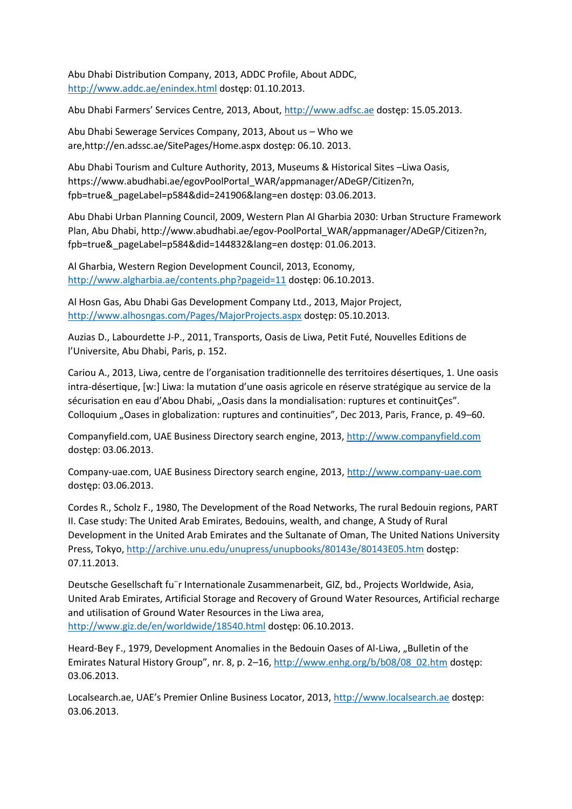Abu Dhabi Distribution Company, 2013, ADDC Profile, About ADDC, <http://www.addc.ae/enindex.html> dostęp: 01.10.2013.

Abu Dhabi Farmers' Services Centre, 2013, About, [http://www.adfsc.ae](http://www.adfsc.ae/) dostęp: 15.05.2013.

Abu Dhabi Sewerage Services Company, 2013, About us – Who we are,http://en.adssc.ae/SitePages/Home.aspx dostęp: 06.10. 2013.

Abu Dhabi Tourism and Culture Authority, 2013, Museums & Historical Sites –Liwa Oasis, https://www.abudhabi.ae/egovPoolPortal\_WAR/appmanager/ADeGP/Citizen?n, fpb=true&\_pageLabel=p584&did=241906&lang=en dostęp: 03.06.2013.

Abu Dhabi Urban Planning Council, 2009, Western Plan Al Gharbia 2030: Urban Structure Framework Plan, Abu Dhabi, http://www.abudhabi.ae/egov-PoolPortal\_WAR/appmanager/ADeGP/Citizen?n, fpb=true&\_pageLabel=p584&did=144832&lang=en dostęp: 01.06.2013.

Al Gharbia, Western Region Development Council, 2013, Economy, <http://www.algharbia.ae/contents.php?pageid=11> dostęp: 06.10.2013.

Al Hosn Gas, Abu Dhabi Gas Development Company Ltd., 2013, Major Project, <http://www.alhosngas.com/Pages/MajorProjects.aspx> dostęp: 05.10.2013.

Auzias D., Labourdette J-P., 2011, Transports, Oasis de Liwa, Petit Futé, Nouvelles Editions de l'Universite, Abu Dhabi, Paris, p. 152.

Cariou A., 2013, Liwa, centre de l'organisation traditionnelle des territoires désertiques, 1. Une oasis intra-désertique, [w:] Liwa: la mutation d'une oasis agricole en réserve stratégique au service de la sécurisation en eau d'Abou Dhabi, "Oasis dans la mondialisation: ruptures et continuitÇes". Colloquium "Oases in globalization: ruptures and continuities", Dec 2013, Paris, France, p. 49–60.

Companyfield.com, UAE Business Directory search engine, 2013, [http://www.companyfield.com](http://www.companyfield.com/) dostęp: 03.06.2013.

Company-uae.com, UAE Business Directory search engine, 2013, [http://www.company-uae.com](http://www.company-uae.com/) dostęp: 03.06.2013.

Cordes R., Scholz F., 1980, The Development of the Road Networks, The rural Bedouin regions, PART II. Case study: The United Arab Emirates, Bedouins, wealth, and change, A Study of Rural Development in the United Arab Emirates and the Sultanate of Oman, The United Nations University Press, Tokyo,<http://archive.unu.edu/unupress/unupbooks/80143e/80143E05.htm> dostęp: 07.11.2013.

Deutsche Gesellschaft fu¨r Internationale Zusammenarbeit, GIZ, bd., Projects Worldwide, Asia, United Arab Emirates, Artificial Storage and Recovery of Ground Water Resources, Artificial recharge and utilisation of Ground Water Resources in the Liwa area, <http://www.giz.de/en/worldwide/18540.html> dostęp: 06.10.2013.

Heard-Bey F., 1979, Development Anomalies in the Bedouin Oases of Al-Liwa, "Bulletin of the Emirates Natural History Group", nr. 8, p. 2–16, [http://www.enhg.org/b/b08/08\\_02.htm](http://www.enhg.org/b/b08/08_02.htm) dostęp: 03.06.2013.

Localsearch.ae, UAE's Premier Online Business Locator, 2013, [http://www.localsearch.ae](http://www.localsearch.ae/) dostęp: 03.06.2013.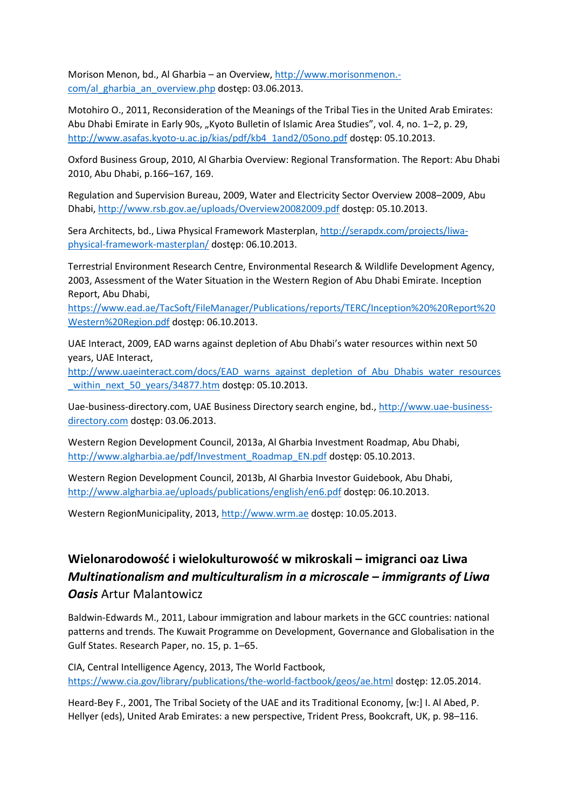Morison Menon, bd., Al Gharbia – an Overview, [http://www.morisonmenon.](http://www.morisonmenon.-com/al_gharbia_an_overview.php) [com/al\\_gharbia\\_an\\_overview.php](http://www.morisonmenon.-com/al_gharbia_an_overview.php) dostęp: 03.06.2013.

Motohiro O., 2011, Reconsideration of the Meanings of the Tribal Ties in the United Arab Emirates: Abu Dhabi Emirate in Early 90s, "Kyoto Bulletin of Islamic Area Studies", vol. 4, no. 1–2, p. 29, [http://www.asafas.kyoto-u.ac.jp/kias/pdf/kb4\\_1and2/05ono.pdf](http://www.asafas.kyoto-u.ac.jp/kias/pdf/kb4_1and2/05ono.pdf) dostęp: 05.10.2013.

Oxford Business Group, 2010, Al Gharbia Overview: Regional Transformation. The Report: Abu Dhabi 2010, Abu Dhabi, p.166–167, 169.

Regulation and Supervision Bureau, 2009, Water and Electricity Sector Overview 2008–2009, Abu Dhabi,<http://www.rsb.gov.ae/uploads/Overview20082009.pdf> dostęp: 05.10.2013.

Sera Architects, bd., Liwa Physical Framework Masterplan, [http://serapdx.com/projects/liwa](http://serapdx.com/projects/liwa-physical-framework-masterplan/)[physical-framework-masterplan/](http://serapdx.com/projects/liwa-physical-framework-masterplan/) dostęp: 06.10.2013.

Terrestrial Environment Research Centre, Environmental Research & Wildlife Development Agency, 2003, Assessment of the Water Situation in the Western Region of Abu Dhabi Emirate. Inception Report, Abu Dhabi,

[https://www.ead.ae/TacSoft/FileManager/Publications/reports/TERC/Inception%20%20Report%20](https://www.ead.ae/TacSoft/FileManager/Publications/reports/TERC/Inception%20%20Report%20Western%20Region.pdf) [Western%20Region.pdf](https://www.ead.ae/TacSoft/FileManager/Publications/reports/TERC/Inception%20%20Report%20Western%20Region.pdf) dostęp: 06.10.2013.

UAE Interact, 2009, EAD warns against depletion of Abu Dhabi's water resources within next 50 years, UAE Interact,

[http://www.uaeinteract.com/docs/EAD\\_warns\\_against\\_depletion\\_of\\_Abu\\_Dhabis\\_water\\_resources](http://www.uaeinteract.com/docs/EAD_warns_against_depletion_of_Abu_Dhabis_water_resources_within_next_50_years/34877.htm) [\\_within\\_next\\_50\\_years/34877.htm](http://www.uaeinteract.com/docs/EAD_warns_against_depletion_of_Abu_Dhabis_water_resources_within_next_50_years/34877.htm) dostęp: 05.10.2013.

Uae-business-directory.com, UAE Business Directory search engine, bd., [http://www.uae-business](http://www.uae-business-directory.com/)[directory.com](http://www.uae-business-directory.com/) dostęp: 03.06.2013.

Western Region Development Council, 2013a, Al Gharbia Investment Roadmap, Abu Dhabi, [http://www.algharbia.ae/pdf/Investment\\_Roadmap\\_EN.pdf](http://www.algharbia.ae/pdf/Investment_Roadmap_EN.pdf) dostęp: 05.10.2013.

Western Region Development Council, 2013b, Al Gharbia Investor Guidebook, Abu Dhabi, <http://www.algharbia.ae/uploads/publications/english/en6.pdf> dostęp: 06.10.2013.

Western RegionMunicipality, 2013, [http://www.wrm.ae](http://www.wrm.ae/) dostęp: 10.05.2013.

## **Wielonarodowość i wielokulturowość w mikroskali – imigranci oaz Liwa**  *Multinationalism and multiculturalism in a microscale – immiarants of Liwa Oasis* Artur Malantowicz

Baldwin-Edwards M., 2011, Labour immigration and labour markets in the GCC countries: national patterns and trends. The Kuwait Programme on Development, Governance and Globalisation in the Gulf States. Research Paper, no. 15, p. 1–65.

CIA, Central Intelligence Agency, 2013, The World Factbook, <https://www.cia.gov/library/publications/the-world-factbook/geos/ae.html> dostęp: 12.05.2014.

Heard-Bey F., 2001, The Tribal Society of the UAE and its Traditional Economy, [w:] I. Al Abed, P. Hellyer (eds), United Arab Emirates: a new perspective, Trident Press, Bookcraft, UK, p. 98–116.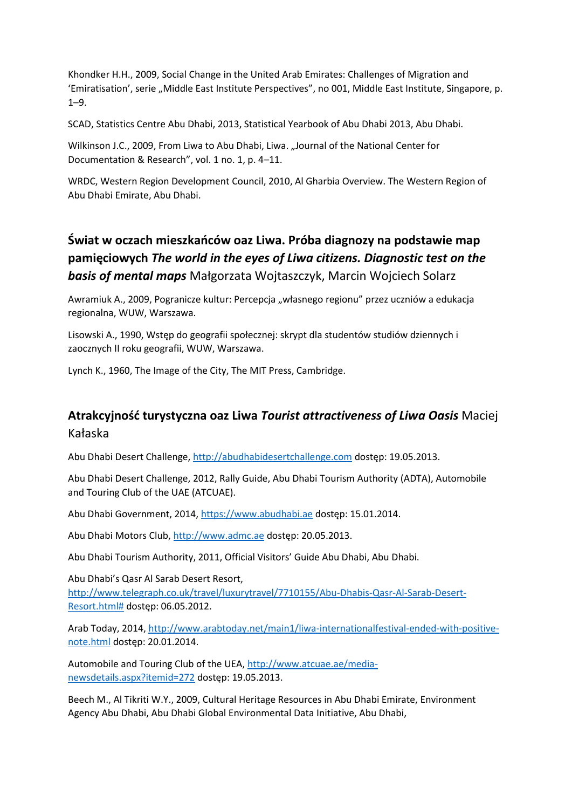Khondker H.H., 2009, Social Change in the United Arab Emirates: Challenges of Migration and 'Emiratisation', serie "Middle East Institute Perspectives", no 001, Middle East Institute, Singapore, p. 1–9.

SCAD, Statistics Centre Abu Dhabi, 2013, Statistical Yearbook of Abu Dhabi 2013, Abu Dhabi.

Wilkinson J.C., 2009, From Liwa to Abu Dhabi, Liwa. "Journal of the National Center for Documentation & Research", vol. 1 no. 1, p. 4–11.

WRDC, Western Region Development Council, 2010, Al Gharbia Overview. The Western Region of Abu Dhabi Emirate, Abu Dhabi.

# **Świat w oczach mieszkańców oaz Liwa. Próba diagnozy na podstawie map pamięciowych** *The world in the eyes of Liwa citizens. Diagnostic test on the basis of mental maps* Małgorzata Wojtaszczyk, Marcin Wojciech Solarz

Awramiuk A., 2009, Pogranicze kultur: Percepcja "własnego regionu" przez uczniów a edukacja regionalna, WUW, Warszawa.

Lisowski A., 1990, Wstęp do geografii społecznej: skrypt dla studentów studiów dziennych i zaocznych II roku geografii, WUW, Warszawa.

Lynch K., 1960, The Image of the City, The MIT Press, Cambridge.

### **Atrakcyjność turystyczna oaz Liwa** *Tourist attractiveness of Liwa Oasis* Maciej Kałaska

Abu Dhabi Desert Challenge, [http://abudhabidesertchallenge.com](http://abudhabidesertchallenge.com/) dostęp: 19.05.2013.

Abu Dhabi Desert Challenge, 2012, Rally Guide, Abu Dhabi Tourism Authority (ADTA), Automobile and Touring Club of the UAE (ATCUAE).

Abu Dhabi Government, 2014, [https://www.abudhabi.ae](https://www.abudhabi.ae/) dostęp: 15.01.2014.

Abu Dhabi Motors Club, [http://www.admc.ae](http://www.admc.ae/) dostęp: 20.05.2013.

Abu Dhabi Tourism Authority, 2011, Official Visitors' Guide Abu Dhabi, Abu Dhabi.

Abu Dhabi's Qasr Al Sarab Desert Resort, [http://www.telegraph.co.uk/travel/luxurytravel/7710155/Abu-Dhabis-Qasr-Al-Sarab-Desert-](http://www.telegraph.co.uk/travel/luxurytravel/7710155/Abu-Dhabis-Qasr-Al-Sarab-Desert-Resort.html)[Resort.html#](http://www.telegraph.co.uk/travel/luxurytravel/7710155/Abu-Dhabis-Qasr-Al-Sarab-Desert-Resort.html) dostęp: 06.05.2012.

Arab Today, 2014[, http://www.arabtoday.net/main1/liwa-internationalfestival-ended-with-positive](http://www.arabtoday.net/main1/liwa-internationalfestival-ended-with-positive-note.html)[note.html](http://www.arabtoday.net/main1/liwa-internationalfestival-ended-with-positive-note.html) dostęp: 20.01.2014.

Automobile and Touring Club of the UEA[, http://www.atcuae.ae/media](http://www.atcuae.ae/media-newsdetails.aspx?itemid=272)[newsdetails.aspx?itemid=272](http://www.atcuae.ae/media-newsdetails.aspx?itemid=272) dostęp: 19.05.2013.

Beech M., Al Tikriti W.Y., 2009, Cultural Heritage Resources in Abu Dhabi Emirate, Environment Agency Abu Dhabi, Abu Dhabi Global Environmental Data Initiative, Abu Dhabi,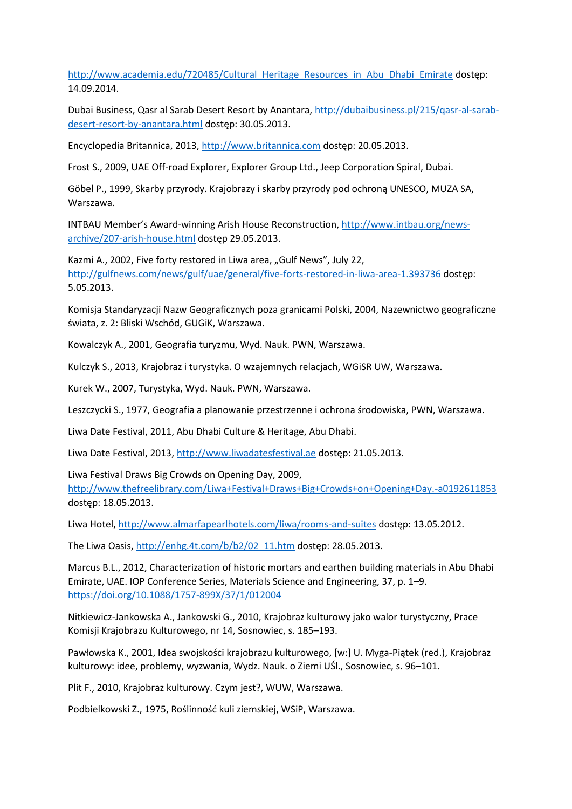http://www.academia.edu/720485/Cultural Heritage Resources in Abu Dhabi Emirate dostęp: 14.09.2014.

Dubai Business, Qasr al Sarab Desert Resort by Anantara[, http://dubaibusiness.pl/215/qasr-al-sarab](http://dubaibusiness.pl/215/qasr-al-sarab-desert-resort-by-anantara.html)[desert-resort-by-anantara.html](http://dubaibusiness.pl/215/qasr-al-sarab-desert-resort-by-anantara.html) dostęp: 30.05.2013.

Encyclopedia Britannica, 2013, [http://www.britannica.com](http://www.britannica.com/) dostęp: 20.05.2013.

Frost S., 2009, UAE Off-road Explorer, Explorer Group Ltd., Jeep Corporation Spiral, Dubai.

Göbel P., 1999, Skarby przyrody. Krajobrazy i skarby przyrody pod ochroną UNESCO, MUZA SA, Warszawa.

INTBAU Member's Award-winning Arish House Reconstruction, [http://www.intbau.org/news](http://www.intbau.org/news-archive/207-arish-house.html)[archive/207-arish-house.html](http://www.intbau.org/news-archive/207-arish-house.html) dostęp 29.05.2013.

Kazmi A., 2002, Five forty restored in Liwa area, "Gulf News", July 22, <http://gulfnews.com/news/gulf/uae/general/five-forts-restored-in-liwa-area-1.393736> dostęp: 5.05.2013.

Komisja Standaryzacji Nazw Geograficznych poza granicami Polski, 2004, Nazewnictwo geograficzne świata, z. 2: Bliski Wschód, GUGiK, Warszawa.

Kowalczyk A., 2001, Geografia turyzmu, Wyd. Nauk. PWN, Warszawa.

Kulczyk S., 2013, Krajobraz i turystyka. O wzajemnych relacjach, WGiSR UW, Warszawa.

Kurek W., 2007, Turystyka, Wyd. Nauk. PWN, Warszawa.

Leszczycki S., 1977, Geografia a planowanie przestrzenne i ochrona środowiska, PWN, Warszawa.

Liwa Date Festival, 2011, Abu Dhabi Culture & Heritage, Abu Dhabi.

Liwa Date Festival, 2013, [http://www.liwadatesfestival.ae](http://www.liwadatesfestival.ae/) dostęp: 21.05.2013.

Liwa Festival Draws Big Crowds on Opening Day, 2009,

<http://www.thefreelibrary.com/Liwa+Festival+Draws+Big+Crowds+on+Opening+Day.-a0192611853> dostęp: 18.05.2013.

Liwa Hotel,<http://www.almarfapearlhotels.com/liwa/rooms-and-suites> dostęp: 13.05.2012.

The Liwa Oasis[, http://enhg.4t.com/b/b2/02\\_11.htm](http://enhg.4t.com/b/b2/02_11.htm) dostęp: 28.05.2013.

Marcus B.L., 2012, Characterization of historic mortars and earthen building materials in Abu Dhabi Emirate, UAE. IOP Conference Series, Materials Science and Engineering, 37, p. 1–9. <https://doi.org/10.1088/1757-899X/37/1/012004>

Nitkiewicz-Jankowska A., Jankowski G., 2010, Krajobraz kulturowy jako walor turystyczny, Prace Komisji Krajobrazu Kulturowego, nr 14, Sosnowiec, s. 185–193.

Pawłowska K., 2001, Idea swojskości krajobrazu kulturowego, [w:] U. Myga-Piątek (red.), Krajobraz kulturowy: idee, problemy, wyzwania, Wydz. Nauk. o Ziemi UŚl., Sosnowiec, s. 96–101.

Plit F., 2010, Krajobraz kulturowy. Czym jest?, WUW, Warszawa.

Podbielkowski Z., 1975, Roślinność kuli ziemskiej, WSiP, Warszawa.